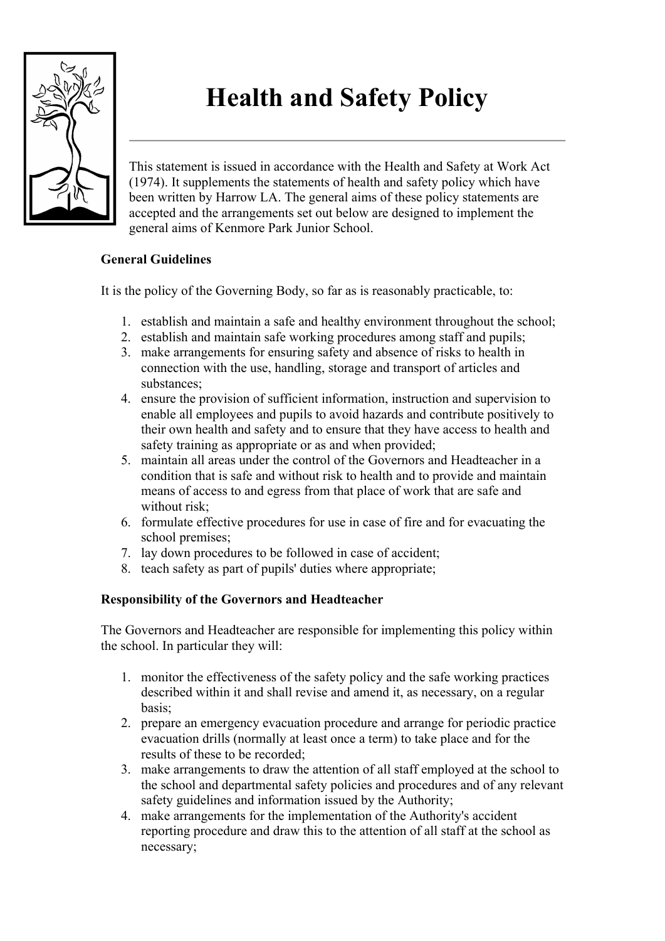

# **Health and Safety Policy**

This statement is issued in accordance with the Health and Safety at Work Act (1974). It supplements the statements of health and safety policy which have been written by Harrow LA. The general aims of these policy statements are accepted and the arrangements set out below are designed to implement the general aims of Kenmore Park Junior School.

## **General Guidelines**

It is the policy of the Governing Body, so far as is reasonably practicable, to:

- 1. establish and maintain a safe and healthy environment throughout the school;
- 2. establish and maintain safe working procedures among staff and pupils;
- 3. make arrangements for ensuring safety and absence of risks to health in connection with the use, handling, storage and transport of articles and substances;
- 4. ensure the provision of sufficient information, instruction and supervision to enable all employees and pupils to avoid hazards and contribute positively to their own health and safety and to ensure that they have access to health and safety training as appropriate or as and when provided;
- 5. maintain all areas under the control of the Governors and Headteacher in a condition that is safe and without risk to health and to provide and maintain means of access to and egress from that place of work that are safe and without risk:
- 6. formulate effective procedures for use in case of fire and for evacuating the school premises;
- 7. lay down procedures to be followed in case of accident;
- 8. teach safety as part of pupils' duties where appropriate;

# **Responsibility of the Governors and Headteacher**

The Governors and Headteacher are responsible for implementing this policy within the school. In particular they will:

- 1. monitor the effectiveness of the safety policy and the safe working practices described within it and shall revise and amend it, as necessary, on a regular basis;
- 2. prepare an emergency evacuation procedure and arrange for periodic practice evacuation drills (normally at least once a term) to take place and for the results of these to be recorded;
- 3. make arrangements to draw the attention of all staff employed at the school to the school and departmental safety policies and procedures and of any relevant safety guidelines and information issued by the Authority;
- 4. make arrangements for the implementation of the Authority's accident reporting procedure and draw this to the attention of all staff at the school as necessary;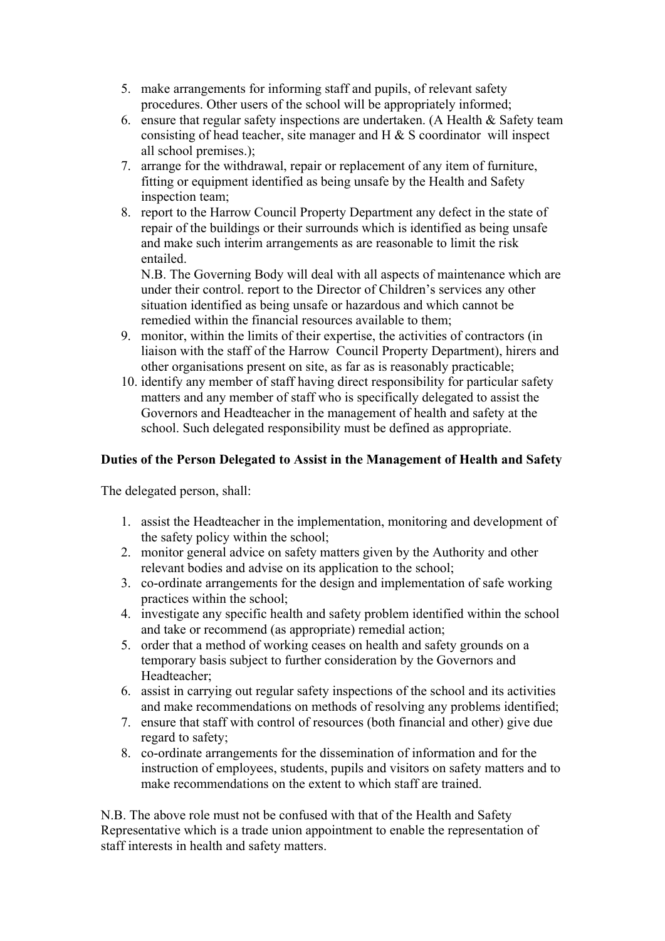- 5. make arrangements for informing staff and pupils, of relevant safety procedures. Other users of the school will be appropriately informed;
- 6. ensure that regular safety inspections are undertaken. (A Health  $\&$  Safety team consisting of head teacher, site manager and H & S coordinator will inspect all school premises.);
- 7. arrange for the withdrawal, repair or replacement of any item of furniture, fitting or equipment identified as being unsafe by the Health and Safety inspection team;
- 8. report to the Harrow Council Property Department any defect in the state of repair of the buildings or their surrounds which is identified as being unsafe and make such interim arrangements as are reasonable to limit the risk entailed.

N.B. The Governing Body will deal with all aspects of maintenance which are under their control. report to the Director of Children's services any other situation identified as being unsafe or hazardous and which cannot be remedied within the financial resources available to them;

- 9. monitor, within the limits of their expertise, the activities of contractors (in liaison with the staff of the Harrow Council Property Department), hirers and other organisations present on site, as far as is reasonably practicable;
- 10. identify any member of staff having direct responsibility for particular safety matters and any member of staff who is specifically delegated to assist the Governors and Headteacher in the management of health and safety at the school. Such delegated responsibility must be defined as appropriate.

## **Duties of the Person Delegated to Assist in the Management of Health and Safety**

The delegated person, shall:

- 1. assist the Headteacher in the implementation, monitoring and development of the safety policy within the school;
- 2. monitor general advice on safety matters given by the Authority and other relevant bodies and advise on its application to the school;
- 3. co-ordinate arrangements for the design and implementation of safe working practices within the school;
- 4. investigate any specific health and safety problem identified within the school and take or recommend (as appropriate) remedial action;
- 5. order that a method of working ceases on health and safety grounds on a temporary basis subject to further consideration by the Governors and Headteacher;
- 6. assist in carrying out regular safety inspections of the school and its activities and make recommendations on methods of resolving any problems identified;
- 7. ensure that staff with control of resources (both financial and other) give due regard to safety;
- 8. co-ordinate arrangements for the dissemination of information and for the instruction of employees, students, pupils and visitors on safety matters and to make recommendations on the extent to which staff are trained.

N.B. The above role must not be confused with that of the Health and Safety Representative which is a trade union appointment to enable the representation of staff interests in health and safety matters.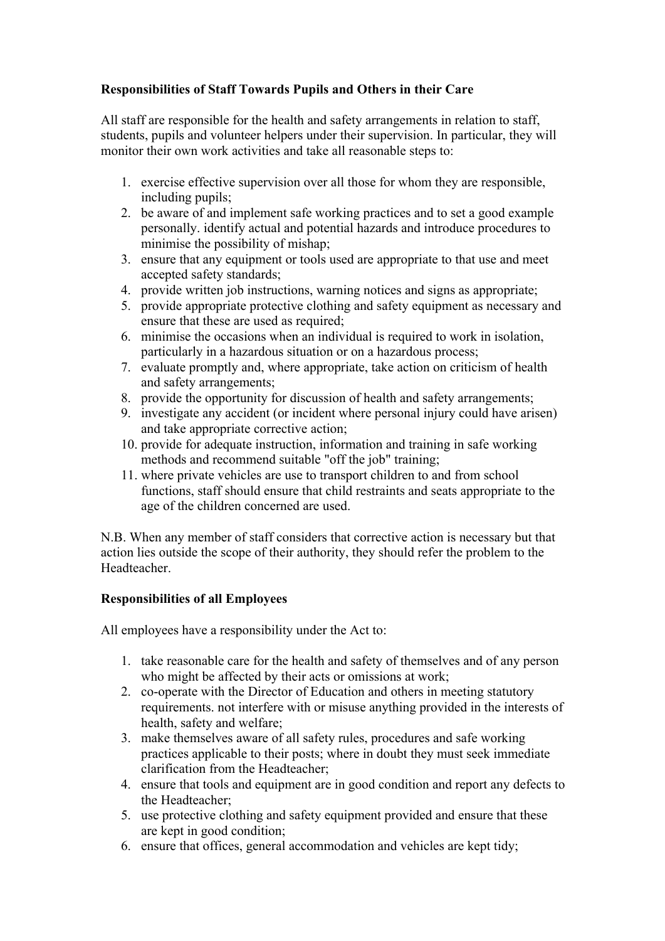# **Responsibilities of Staff Towards Pupils and Others in their Care**

All staff are responsible for the health and safety arrangements in relation to staff, students, pupils and volunteer helpers under their supervision. In particular, they will monitor their own work activities and take all reasonable steps to:

- 1. exercise effective supervision over all those for whom they are responsible, including pupils;
- 2. be aware of and implement safe working practices and to set a good example personally. identify actual and potential hazards and introduce procedures to minimise the possibility of mishap;
- 3. ensure that any equipment or tools used are appropriate to that use and meet accepted safety standards;
- 4. provide written job instructions, warning notices and signs as appropriate;
- 5. provide appropriate protective clothing and safety equipment as necessary and ensure that these are used as required;
- 6. minimise the occasions when an individual is required to work in isolation, particularly in a hazardous situation or on a hazardous process;
- 7. evaluate promptly and, where appropriate, take action on criticism of health and safety arrangements;
- 8. provide the opportunity for discussion of health and safety arrangements;
- 9. investigate any accident (or incident where personal injury could have arisen) and take appropriate corrective action;
- 10. provide for adequate instruction, information and training in safe working methods and recommend suitable "off the job" training;
- 11. where private vehicles are use to transport children to and from school functions, staff should ensure that child restraints and seats appropriate to the age of the children concerned are used.

N.B. When any member of staff considers that corrective action is necessary but that action lies outside the scope of their authority, they should refer the problem to the Headteacher.

# **Responsibilities of all Employees**

All employees have a responsibility under the Act to:

- 1. take reasonable care for the health and safety of themselves and of any person who might be affected by their acts or omissions at work;
- 2. co-operate with the Director of Education and others in meeting statutory requirements. not interfere with or misuse anything provided in the interests of health, safety and welfare;
- 3. make themselves aware of all safety rules, procedures and safe working practices applicable to their posts; where in doubt they must seek immediate clarification from the Headteacher;
- 4. ensure that tools and equipment are in good condition and report any defects to the Headteacher;
- 5. use protective clothing and safety equipment provided and ensure that these are kept in good condition;
- 6. ensure that offices, general accommodation and vehicles are kept tidy;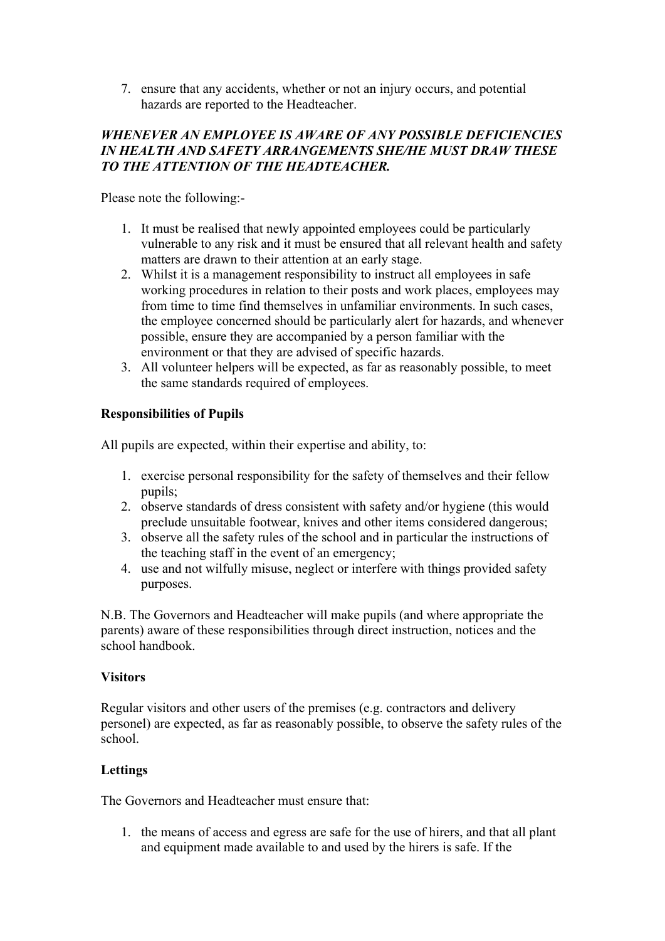7. ensure that any accidents, whether or not an injury occurs, and potential hazards are reported to the Headteacher.

## *WHENEVER AN EMPLOYEE IS AWARE OF ANY POSSIBLE DEFICIENCIES IN HEALTH AND SAFETY ARRANGEMENTS SHE/HE MUST DRAW THESE TO THE ATTENTION OF THE HEADTEACHER.*

Please note the following:-

- 1. It must be realised that newly appointed employees could be particularly vulnerable to any risk and it must be ensured that all relevant health and safety matters are drawn to their attention at an early stage.
- 2. Whilst it is a management responsibility to instruct all employees in safe working procedures in relation to their posts and work places, employees may from time to time find themselves in unfamiliar environments. In such cases, the employee concerned should be particularly alert for hazards, and whenever possible, ensure they are accompanied by a person familiar with the environment or that they are advised of specific hazards.
- 3. All volunteer helpers will be expected, as far as reasonably possible, to meet the same standards required of employees.

## **Responsibilities of Pupils**

All pupils are expected, within their expertise and ability, to:

- 1. exercise personal responsibility for the safety of themselves and their fellow pupils;
- 2. observe standards of dress consistent with safety and/or hygiene (this would preclude unsuitable footwear, knives and other items considered dangerous;
- 3. observe all the safety rules of the school and in particular the instructions of the teaching staff in the event of an emergency;
- 4. use and not wilfully misuse, neglect or interfere with things provided safety purposes.

N.B. The Governors and Headteacher will make pupils (and where appropriate the parents) aware of these responsibilities through direct instruction, notices and the school handbook.

## **Visitors**

Regular visitors and other users of the premises (e.g. contractors and delivery personel) are expected, as far as reasonably possible, to observe the safety rules of the school.

# **Lettings**

The Governors and Headteacher must ensure that:

1. the means of access and egress are safe for the use of hirers, and that all plant and equipment made available to and used by the hirers is safe. If the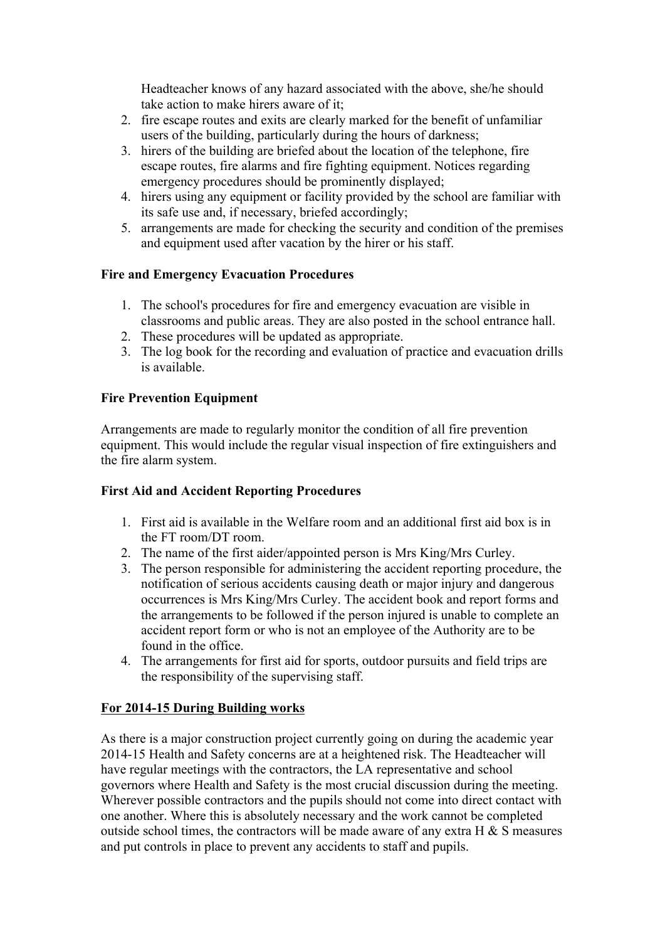Headteacher knows of any hazard associated with the above, she/he should take action to make hirers aware of it;

- 2. fire escape routes and exits are clearly marked for the benefit of unfamiliar users of the building, particularly during the hours of darkness;
- 3. hirers of the building are briefed about the location of the telephone, fire escape routes, fire alarms and fire fighting equipment. Notices regarding emergency procedures should be prominently displayed;
- 4. hirers using any equipment or facility provided by the school are familiar with its safe use and, if necessary, briefed accordingly;
- 5. arrangements are made for checking the security and condition of the premises and equipment used after vacation by the hirer or his staff.

## **Fire and Emergency Evacuation Procedures**

- 1. The school's procedures for fire and emergency evacuation are visible in classrooms and public areas. They are also posted in the school entrance hall.
- 2. These procedures will be updated as appropriate.
- 3. The log book for the recording and evaluation of practice and evacuation drills is available.

## **Fire Prevention Equipment**

Arrangements are made to regularly monitor the condition of all fire prevention equipment. This would include the regular visual inspection of fire extinguishers and the fire alarm system.

## **First Aid and Accident Reporting Procedures**

- 1. First aid is available in the Welfare room and an additional first aid box is in the FT room/DT room.
- 2. The name of the first aider/appointed person is Mrs King/Mrs Curley.
- 3. The person responsible for administering the accident reporting procedure, the notification of serious accidents causing death or major injury and dangerous occurrences is Mrs King/Mrs Curley. The accident book and report forms and the arrangements to be followed if the person injured is unable to complete an accident report form or who is not an employee of the Authority are to be found in the office.
- 4. The arrangements for first aid for sports, outdoor pursuits and field trips are the responsibility of the supervising staff.

## **For 2014-15 During Building works**

As there is a major construction project currently going on during the academic year 2014-15 Health and Safety concerns are at a heightened risk. The Headteacher will have regular meetings with the contractors, the LA representative and school governors where Health and Safety is the most crucial discussion during the meeting. Wherever possible contractors and the pupils should not come into direct contact with one another. Where this is absolutely necessary and the work cannot be completed outside school times, the contractors will be made aware of any extra  $H \& S$  measures and put controls in place to prevent any accidents to staff and pupils.